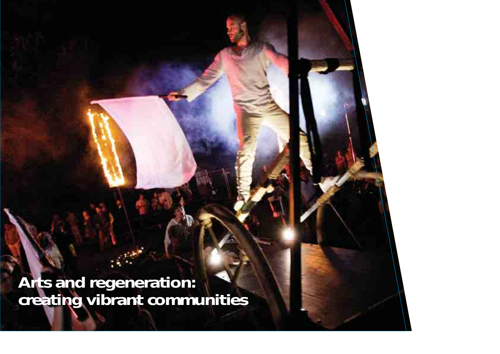**Arts and regeneration: creating vibrant communities**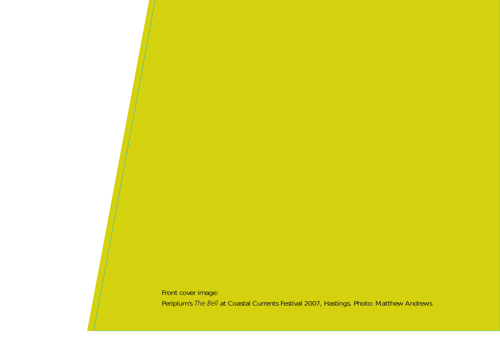Front cover image: Periplum's *The Bell* at Coastal Currents Festival 2007, Hastings. Photo: Matthew Andrews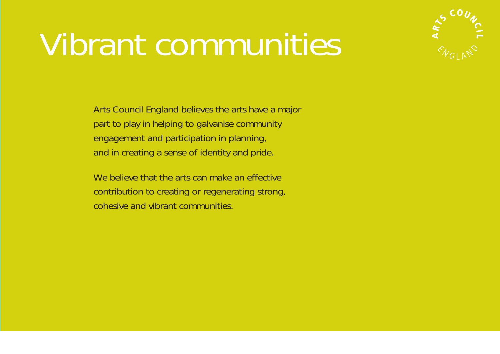# Vibrant communities



Arts Council England believes the arts have a major part to play in helping to galvanise community engagement and participation in planning, and in creating a sense of identity and pride.

We believe that the arts can make an effective contribution to creating or regenerating strong, cohesive and vibrant communities.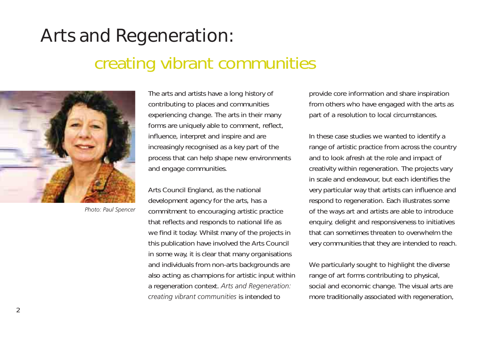# Arts and Regeneration: creating vibrant communities



*Photo: Paul Spencer*

The arts and artists have a long history of contributing to places and communities experiencing change. The arts in their many forms are uniquely able to comment, reflect, influence, interpret and inspire and are increasingly recognised as a key part of the process that can help shape new environments and engage communities.

Arts Council England, as the national development agency for the arts, has a commitment to encouraging artistic practice that reflects and responds to national life as we find it today. Whilst many of the projects in this publication have involved the Arts Council in some way, it is clear that many organisations and individuals from non-arts backgrounds are also acting as champions for artistic input within a regeneration context. *Arts and Regeneration: creating vibrant communities* is intended to

provide core information and share inspiration from others who have engaged with the arts as part of a resolution to local circumstances.

In these case studies we wanted to identify a range of artistic practice from across the country and to look afresh at the role and impact of creativity within regeneration. The projects vary in scale and endeavour, but each identifies the very particular way that artists can influence and respond to regeneration. Each illustrates some of the ways art and artists are able to introduce enquiry, delight and responsiveness to initiatives that can sometimes threaten to overwhelm the very communities that they are intended to reach.

We particularly sought to highlight the diverse range of art forms contributing to physical, social and economic change. The visual arts are more traditionally associated with regeneration,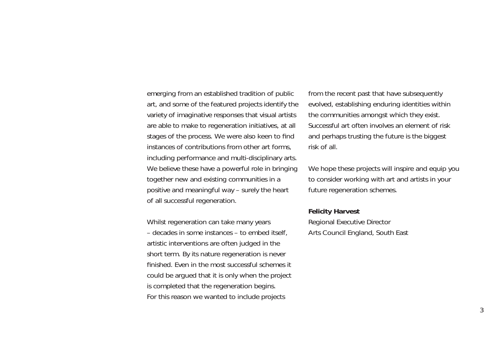emerging from an established tradition of public art, and some of the featured projects identify the variety of imaginative responses that visual artists are able to make to regeneration initiatives, at all stages of the process. We were also keen to find instances of contributions from other art forms, including performance and multi-disciplinary arts. We believe these have a powerful role in bringing together new and existing communities in a positive and meaningful way – surely the heart of all successful regeneration.

Whilst regeneration can take many years – decades in some instances – to embed itself, artistic interventions are often judged in the short term. By its nature regeneration is never finished. Even in the most successful schemes it could be argued that it is only when the project is completed that the regeneration begins. For this reason we wanted to include projects

from the recent past that have subsequently evolved, establishing enduring identities within the communities amongst which they exist. Successful art often involves an element of risk and perhaps trusting the future is the biggest risk of all.

We hope these projects will inspire and equip you to consider working with art and artists in your future regeneration schemes.

#### **Felicity Harvest**

Regional Executive Director Arts Council England, South East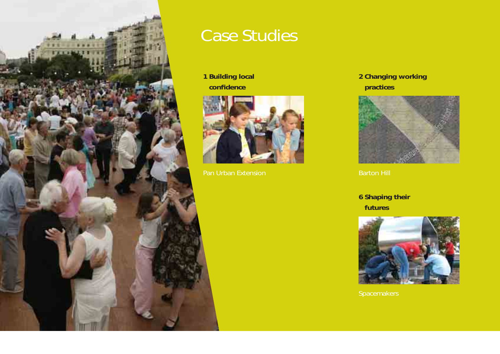

### Case Studies

**1 Building local confi dence**



Pan Urban Extension

**2 Changing working practices**



**6 Shaping their futures**

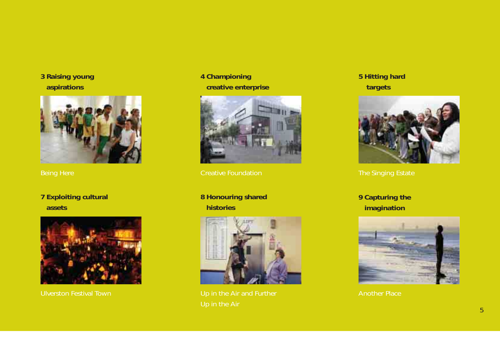### **3 Raising young aspirations**



**7 Exploiting cultural assets**



Ulverston Festival Town

### **4 Championing creative enterprise**



Creative Foundation

### **8 Honouring shared histories**



### **5 Hitting hard targets**



**9 Capturing the imagination**

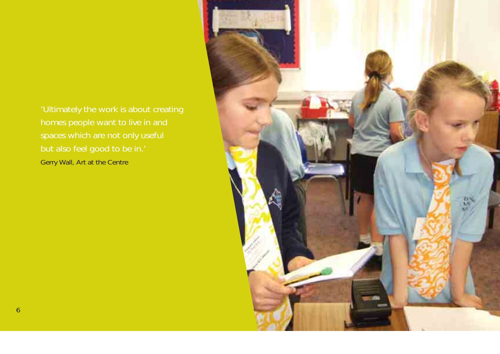'Ultimately the work is about creating homes people want to live in and spaces which are not only useful Gerry Wall, Art at the Centre

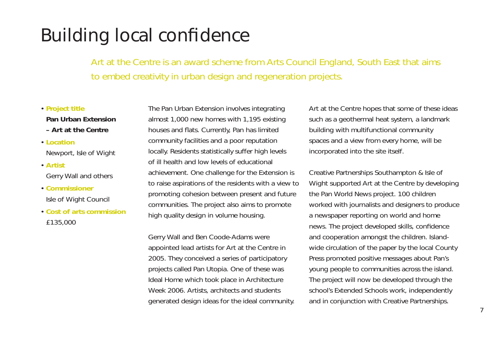# Building local confidence

Art at the Centre is an award scheme from Arts Council England, South East that aims to embed creativity in urban design and regeneration projects.

#### • **Project title**

#### **Pan Urban Extension – Art at the Centre**

- **Location**Newport, Isle of Wight
- **Artist**Gerry Wall and others
- **Commissioner**Isle of Wight Council
- **Cost of arts commission**£135,000

The Pan Urban Extension involves integrating almost 1,000 new homes with 1,195 existing houses and flats. Currently, Pan has limited community facilities and a poor reputation locally. Residents statistically suffer high levels of ill health and low levels of educational achievement. One challenge for the Extension is to raise aspirations of the residents with a view to promoting cohesion between present and future communities. The project also aims to promote high quality design in volume housing.

Gerry Wall and Ben Coode-Adams were appointed lead artists for Art at the Centre in 2005. They conceived a series of participatory projects called Pan Utopia. One of these was Ideal Home which took place in Architecture Week 2006. Artists, architects and students generated design ideas for the ideal community. Art at the Centre hopes that some of these ideas such as a geothermal heat system, a landmark building with multifunctional community spaces and a view from every home, will be incorporated into the site itself.

Creative Partnerships Southampton & Isle of Wight supported Art at the Centre by developing the Pan World News project. 100 children worked with journalists and designers to produce a newspaper reporting on world and home news. The project developed skills, confidence and cooperation amongst the children. Islandwide circulation of the paper by the local County Press promoted positive messages about Pan's young people to communities across the island. The project will now be developed through the school's Extended Schools work, independently and in conjunction with Creative Partnerships.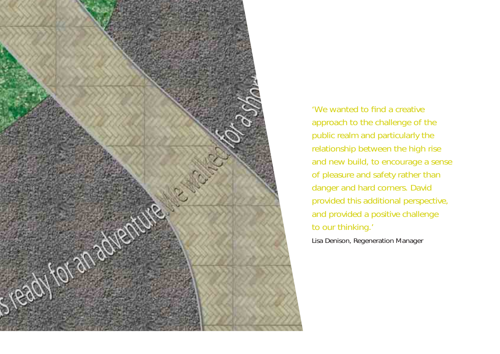

'We wanted to find a creative approach to the challenge of the public realm and particularly the relationship between the high rise and new build, to encourage a sense of pleasure and safety rather than danger and hard corners. David provided this additional perspective, and provided a positive challenge to our thinking.'

Lisa Denison, Regeneration Manager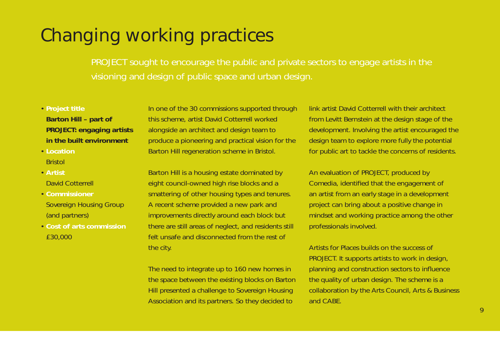# Changing working practices

PROJECT sought to encourage the public and private sectors to engage artists in the visioning and design of public space and urban design.

- **Project title Barton Hill – part of PROJECT: engaging artists in the built environment**
- **Location**Bristol
- **Artist**David Cotterrell
- **Commissioner**Sovereign Housing Group (and partners)
- **Cost of arts commission**£30,000

In one of the 30 commissions supported through this scheme, artist David Cotterrell worked alongside an architect and design team to produce a pioneering and practical vision for the Barton Hill regeneration scheme in Bristol.

Barton Hill is a housing estate dominated by eight council-owned high rise blocks and a smattering of other housing types and tenures. A recent scheme provided a new park and improvements directly around each block but there are still areas of neglect, and residents still felt unsafe and disconnected from the rest of the city.

The need to integrate up to 160 new homes in the space between the existing blocks on Barton Hill presented a challenge to Sovereign Housing Association and its partners. So they decided to

link artist David Cotterrell with their architect from Levitt Bernstein at the design stage of the development. Involving the artist encouraged the design team to explore more fully the potential for public art to tackle the concerns of residents.

An evaluation of PROJECT, produced by Comedia, identified that the engagement of an artist from an early stage in a development project can bring about a positive change in mindset and working practice among the other professionals involved.

Artists for Places builds on the success of PROJECT. It supports artists to work in design, planning and construction sectors to influence the quality of urban design. The scheme is a collaboration by the Arts Council, Arts & Business and CABE.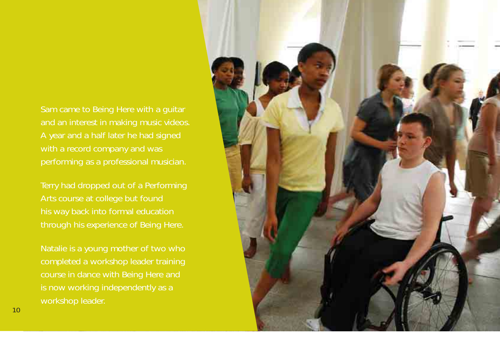Sam came to Being Here with a guitar and an interest in making music videos. A year and a half later he had signed with a record company and was

Terry had dropped out of a Performing Arts course at college but found his way back into formal education through his experience of Being Here.

completed a workshop leader training course in dance with Being Here and is now working independently as a workshop leader.

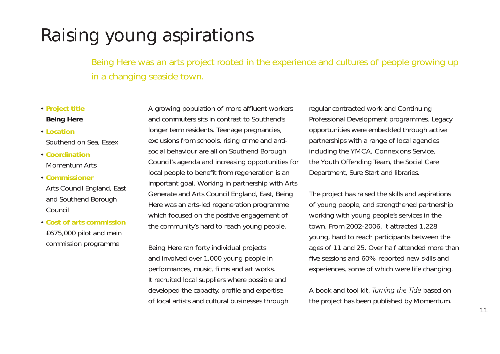# Raising young aspirations

Being Here was an arts project rooted in the experience and cultures of people growing up in a changing seaside town.

#### • **Project title Being Here**

- **Location**Southend on Sea, Essex
- **Coordination**Momentum Arts
- **Commissioner**
- Arts Council England, East and Southend Borough Council
- **Cost of arts commission**£675,000 pilot and main commission programme

A growing population of more affluent workers and commuters sits in contrast to Southend's longer term residents. Teenage pregnancies, exclusions from schools, rising crime and antisocial behaviour are all on Southend Borough Council's agenda and increasing opportunities for local people to benefit from regeneration is an important goal. Working in partnership with Arts Generate and Arts Council England, East, Being Here was an arts-led regeneration programme which focused on the positive engagement of the community's hard to reach young people.

Being Here ran forty individual projects and involved over 1,000 young people in performances, music, films and art works. It recruited local suppliers where possible and developed the capacity, profile and expertise of local artists and cultural businesses through regular contracted work and Continuing Professional Development programmes. Legacy opportunities were embedded through active partnerships with a range of local agencies including the YMCA, Connexions Service, the Youth Offending Team, the Social Care Department, Sure Start and libraries.

The project has raised the skills and aspirations of young people, and strengthened partnership working with young people's services in the town. From 2002-2006, it attracted 1,228 young, hard to reach participants between the ages of 11 and 25. Over half attended more than five sessions and 60% reported new skills and experiences, some of which were life changing.

A book and tool kit, *Turning the Tide* based on the project has been published by Momentum.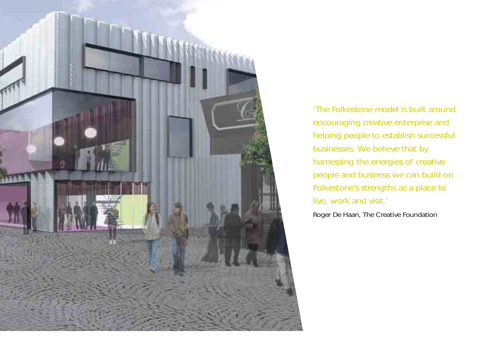

'The Folkestone model is built around encouraging creative enterprise and helping people to establish successful businesses. We believe that by harnessing the energies of creative people and business we can build on Folkestone's strengths as a place to live, work and visit.'

Roger De Haan, The Creative Foundation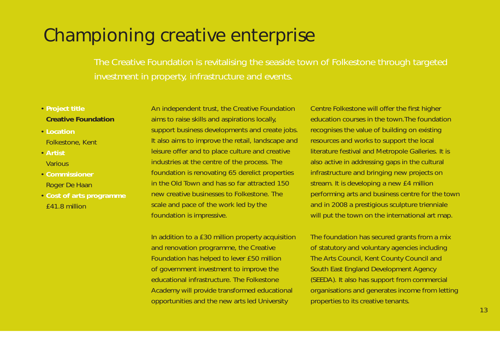### Championing creative enterprise

The Creative Foundation is revitalising the seaside town of Folkestone through targeted investment in property, infrastructure and events.

#### • **Project title Creative Foundation**

- **Location**Folkestone, Kent
- **ArtistVarious**
- **Commissioner**Roger De Haan
- **Cost of arts programme** £41.8 million

An independent trust, the Creative Foundation aims to raise skills and aspirations locally, support business developments and create jobs. It also aims to improve the retail, landscape and leisure offer and to place culture and creative industries at the centre of the process. The foundation is renovating 65 derelict properties in the Old Town and has so far attracted 150 new creative businesses to Folkestone. The scale and pace of the work led by the foundation is impressive.

In addition to a £30 million property acquisition and renovation programme, the Creative Foundation has helped to lever £50 million of government investment to improve the educational infrastructure. The Folkestone Academy will provide transformed educational opportunities and the new arts led University

Centre Folkestone will offer the first higher education courses in the town.The foundation recognises the value of building on existing resources and works to support the local literature festival and Metropole Galleries. It is also active in addressing gaps in the cultural infrastructure and bringing new projects on stream. It is developing a new £4 million performing arts and business centre for the town and in 2008 a prestigious sculpture trienniale will put the town on the international art map.

The foundation has secured grants from a mix of statutory and voluntary agencies including The Arts Council, Kent County Council and South East England Development Agency (SEEDA). It also has support from commercial organisations and generates income from letting properties to its creative tenants.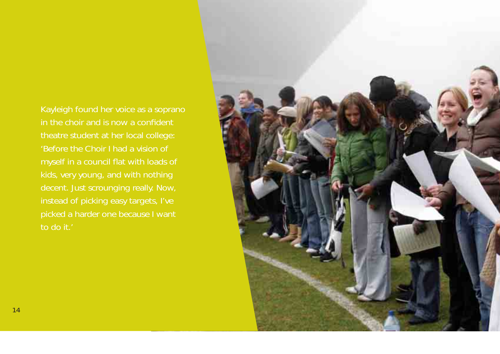Kayleigh found her voice as a soprano in the choir and is now a confident theatre student at her local college: 'Before the Choir I had a vision of myself in a council flat with loads of kids, very young, and with nothing decent. Just scrounging really. Now, instead of picking easy targets, I've to do it.'

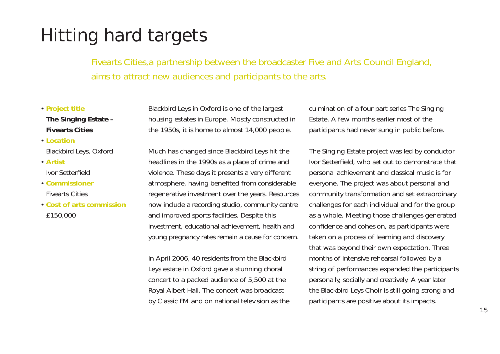# Hitting hard targets

Fivearts Cities,a partnership between the broadcaster Five and Arts Council England, aims to attract new audiences and participants to the arts.

#### • **Project title The Singing Estate – Fivearts Cities**

- **Location**Blackbird Leys, Oxford
- **Artist**Ivor Setterfield
- **Commissioner**Fivearts Cities
- **Cost of arts commission**£150,000

Blackbird Leys in Oxford is one of the largest housing estates in Europe. Mostly constructed in the 1950s, it is home to almost 14,000 people.

Much has changed since Blackbird Leys hit the headlines in the 1990s as a place of crime and violence. These days it presents a very different atmosphere, having benefited from considerable regenerative investment over the years. Resources now include a recording studio, community centre and improved sports facilities. Despite this investment, educational achievement, health and young pregnancy rates remain a cause for concern.

In April 2006, 40 residents from the Blackbird Leys estate in Oxford gave a stunning choral concert to a packed audience of 5,500 at the Royal Albert Hall. The concert was broadcast by Classic FM and on national television as the culmination of a four part series The Singing Estate. A few months earlier most of the participants had never sung in public before.

The Singing Estate project was led by conductor Ivor Setterfield, who set out to demonstrate that personal achievement and classical music is for everyone. The project was about personal and community transformation and set extraordinary challenges for each individual and for the group as a whole. Meeting those challenges generated confidence and cohesion, as participants were taken on a process of learning and discovery that was beyond their own expectation. Three months of intensive rehearsal followed by a string of performances expanded the participants personally, socially and creatively. A year later the Blackbird Leys Choir is still going strong and participants are positive about its impacts.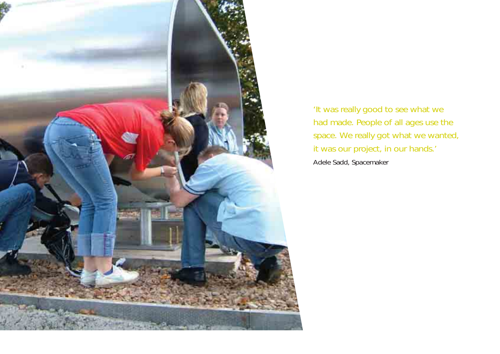

'It was really good to see what we had made. People of all ages use the space. We really got what we wanted, it was our project, in our hands.' Adele Sadd, Spacemaker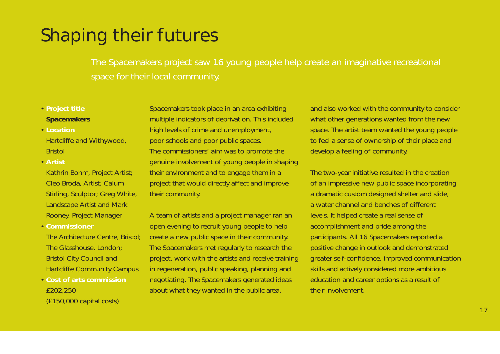# Shaping their futures

The Spacemakers project saw 16 young people help create an imaginative recreational space for their local community.

### • **Project title**

#### **Spacemakers**

- **Location**Hartcliffe and Withywood, Bristol
- **Artist**
- Kathrin Bohm, Project Artist; Cleo Broda, Artist; Calum Stirling, Sculptor; Greg White, Landscape Artist and Mark Rooney, Project Manager
- **Commissioner**
- The Architecture Centre, Bristol; The Glasshouse, London; Bristol City Council and Hartcliffe Community Campus
- **Cost of arts commission** £202,250 (£150,000 capital costs)

Spacemakers took place in an area exhibiting multiple indicators of deprivation. This included high levels of crime and unemployment, poor schools and poor public spaces. The commissioners' aim was to promote the genuine involvement of young people in shaping their environment and to engage them in a project that would directly affect and improve their community.

A team of artists and a project manager ran an open evening to recruit young people to help create a new public space in their community. The Spacemakers met regularly to research the project, work with the artists and receive training in regeneration, public speaking, planning and negotiating. The Spacemakers generated ideas about what they wanted in the public area,

and also worked with the community to consider what other generations wanted from the new space. The artist team wanted the young people to feel a sense of ownership of their place and develop a feeling of community.

The two-year initiative resulted in the creation of an impressive new public space incorporating a dramatic custom designed shelter and slide, a water channel and benches of different levels. It helped create a real sense of accomplishment and pride among the participants. All 16 Spacemakers reported a positive change in outlook and demonstrated greater self-confidence, improved communication skills and actively considered more ambitious education and career options as a result of their involvement.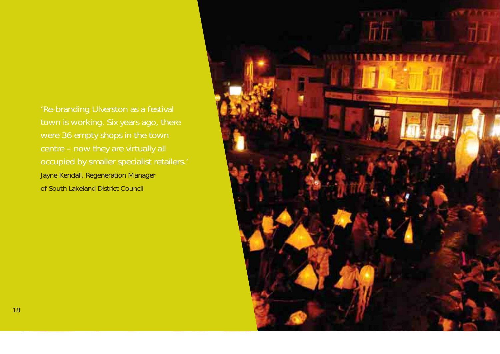'Re-branding Ulverston as a festival town is working. Six years ago, there were 36 empty shops in the town occupied by smaller specialist retailers.' Jayne Kendall, Regeneration Manager of South Lakeland District Council

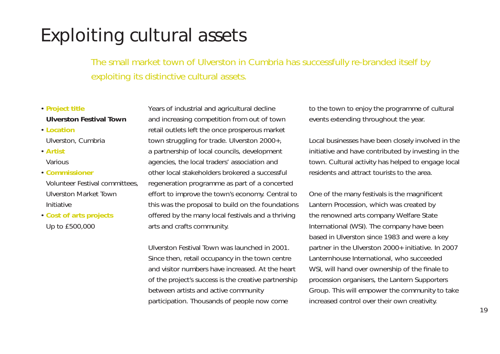# Exploiting cultural assets

The small market town of Ulverston in Cumbria has successfully re-branded itself by exploiting its distinctive cultural assets.

#### • **Project title Ulverston Festival Town**

#### • **Location**Ulverston, Cumbria

- **Artist**Various
- **Commissioner**
- Volunteer Festival committees, Ulverston Market Town Initiative
- **Cost of arts projects** Up to £500,000

Years of industrial and agricultural decline and increasing competition from out of town retail outlets left the once prosperous market town struggling for trade. Ulverston 2000+, a partnership of local councils, development agencies, the local traders' association and other local stakeholders brokered a successful regeneration programme as part of a concerted effort to improve the town's economy. Central to this was the proposal to build on the foundations offered by the many local festivals and a thriving arts and crafts community.

Ulverston Festival Town was launched in 2001. Since then, retail occupancy in the town centre and visitor numbers have increased. At the heart of the project's success is the creative partnership between artists and active community participation. Thousands of people now come

to the town to enjoy the programme of cultural events extending throughout the year.

Local businesses have been closely involved in the initiative and have contributed by investing in the town. Cultural activity has helped to engage local residents and attract tourists to the area.

One of the many festivals is the magnificent Lantern Procession, which was created by the renowned arts company Welfare State International (WSI). The company have been based in Ulverston since 1983 and were a key partner in the Ulverston 2000+ initiative. In 2007 Lanternhouse International, who succeeded WSI, will hand over ownership of the finale to procession organisers, the Lantern Supporters Group. This will empower the community to take increased control over their own creativity.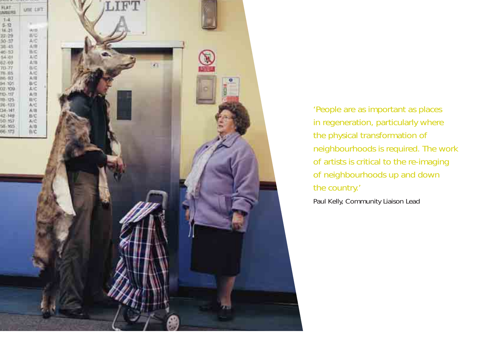

'People are as important as places in regeneration, particularly where the physical transformation of neighbourhoods is required. The work of artists is critical to the re-imaging of neighbourhoods up and down the country.'

Paul Kelly, Community Liaison Lead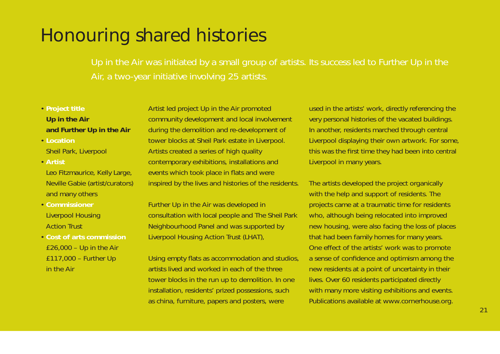## Honouring shared histories

Up in the Air was initiated by a small group of artists. Its success led to Further Up in the Air, a two-year initiative involving 25 artists.

### • **Project title Up in the Air and Further Up in the Air**

- **Location**Sheil Park, Liverpool
- **Artist**

Leo Fitzmaurice, Kelly Large, Neville Gabie (artist/curators) and many others

- **Commissioner**Liverpool Housing Action Trust
- **Cost of arts commission** £26,000 – Up in the Air £117,000 – Further Up in the Air

Artist led project Up in the Air promoted community development and local involvement during the demolition and re-development of tower blocks at Sheil Park estate in Liverpool. Artists created a series of high quality contemporary exhibitions, installations and events which took place in flats and were inspired by the lives and histories of the residents.

Further Up in the Air was developed in consultation with local people and The Sheil Park Neighbourhood Panel and was supported by Liverpool Housing Action Trust (LHAT),

Using empty flats as accommodation and studios, artists lived and worked in each of the three tower blocks in the run up to demolition. In one installation, residents' prized possessions, such as china, furniture, papers and posters, were

used in the artists' work, directly referencing the very personal histories of the vacated buildings. In another, residents marched through central Liverpool displaying their own artwork. For some, this was the first time they had been into central Liverpool in many years.

The artists developed the project organically with the help and support of residents. The projects came at a traumatic time for residents who, although being relocated into improved new housing, were also facing the loss of places that had been family homes for many years. One effect of the artists' work was to promote a sense of confidence and optimism among the new residents at a point of uncertainty in their lives. Over 60 residents participated directly with many more visiting exhibitions and events. Publications available at www.cornerhouse.org.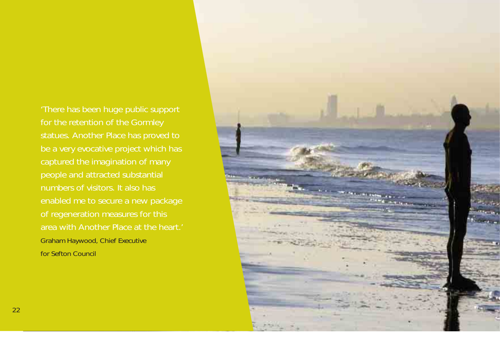'There has been huge public support captured the imagination of many people and attracted substantial numbers of visitors. It also has enabled me to secure a new package of regeneration measures for this area with Another Place at the heart.' Graham Haywood, Chief Executive for Sefton Council

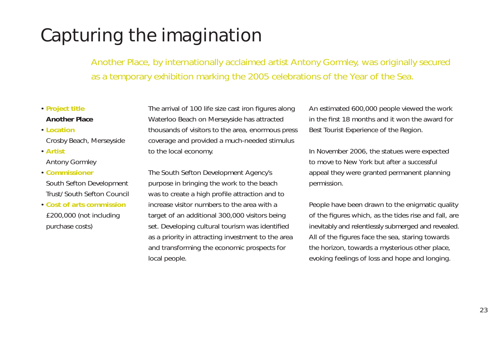# Capturing the imagination

Another Place, by internationally acclaimed artist Antony Gormley, was originally secured as a temporary exhibition marking the 2005 celebrations of the Year of the Sea.

#### • **Project title Another Place**

### • **Location**

- Crosby Beach, Merseyside
- **Artist**Antony Gormley

### • **Commissioner**

South Sefton Development Trust/ South Sefton Council

• **Cost of arts commission**£200,000 (not including purchase costs)

The arrival of 100 life size cast iron figures along Waterloo Beach on Merseyside has attracted thousands of visitors to the area, enormous press coverage and provided a much-needed stimulus to the local economy.

The South Sefton Development Agency's purpose in bringing the work to the beach was to create a high profile attraction and to increase visitor numbers to the area with a target of an additional 300,000 visitors being set. Developing cultural tourism was identified as a priority in attracting investment to the area and transforming the economic prospects for local people.

An estimated 600,000 people viewed the work in the first 18 months and it won the award for Best Tourist Experience of the Region.

In November 2006, the statues were expected to move to New York but after a successful appeal they were granted permanent planning permission.

People have been drawn to the enigmatic quality of the figures which, as the tides rise and fall, are inevitably and relentlessly submerged and revealed. All of the figures face the sea, staring towards the horizon, towards a mysterious other place, evoking feelings of loss and hope and longing.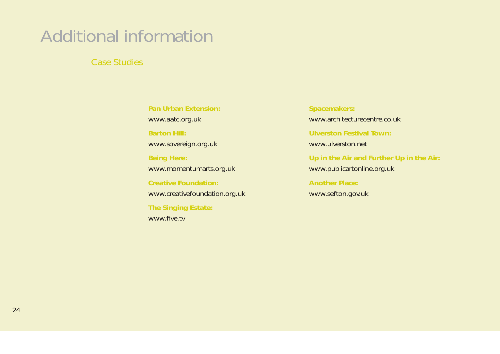# Additional information

Case Studies

**Pan Urban Extension:**www.aatc.org.uk **Barton Hill:**www.sovereign.org.uk **Being Here:** www.momentumarts.org.uk **Creative Foundation:** www.creativefoundation.org.uk **The Singing Estate:** www.five.tv

**Spacemakers:** www.architecturecentre.co.uk**Ulverston Festival Town:** www.ulverston.net

**Up in the Air and Further Up in the Air:**  www.publicartonline.org.uk

**Another Place:** www.sefton.gov.uk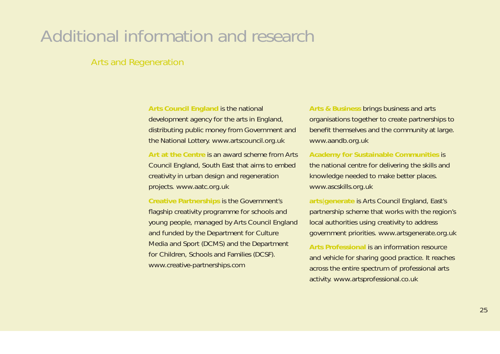### Additional information and research

### Arts and Regeneration

**Arts Council England** is the national development agency for the arts in England, distributing public money from Government and the National Lottery. www.artscouncil.org.uk

**Art at the Centre** is an award scheme from Arts Council England, South East that aims to embed creativity in urban design and regeneration projects. www.aatc.org.uk

**Creative Partnerships** is the Government's flagship creativity programme for schools and young people, managed by Arts Council England and funded by the Department for Culture Media and Sport (DCMS) and the Department for Children, Schools and Families (DCSF). www.creative-partnerships.com

**Arts & Business** brings business and arts organisations together to create partnerships to benefit themselves and the community at large. www.aandb.org.uk

**Academy for Sustainable Communities** is the national centre for delivering the skills and knowledge needed to make better places. www.ascskills.org.uk

**arts** |**generate** is Arts Council England, East's partnership scheme that works with the region's local authorities using creativity to address government priorities. www.artsgenerate.org.uk

**Arts Professional** is an information resource and vehicle for sharing good practice. It reaches across the entire spectrum of professional arts activity. www.artsprofessional.co.uk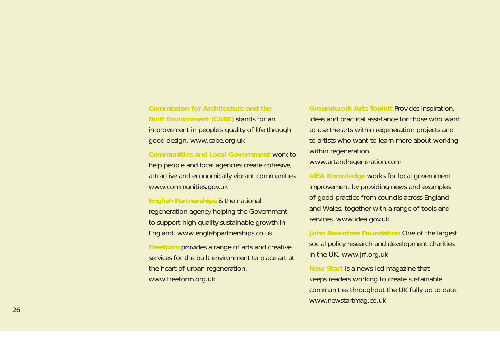**Commission for Architecture and the Built Environment (CABE)** stands for an improvement in people's quality of life through good design. www.cabe.org.uk

**Communities and Local Government** work to help people and local agencies create cohesive, attractive and economically vibrant communities. www.communities.gov.uk

**English Partnerships** is the national regeneration agency helping the Government to support high quality sustainable growth in England. www.englishpartnerships.co.uk

**Freeform** provides a range of arts and creative services for the built environment to place art at the heart of urban regeneration. www.freeform.org.uk

**Groundwork Arts Toolkit** Provides inspiration, ideas and practical assistance for those who want to use the arts within regeneration projects and to artists who want to learn more about working within regeneration. www.artandregeneration.com

**IdEA Knowledge** works for local government improvement by providing news and examples of good practice from councils across England and Wales, together with a range of tools and services. www.idea.gov.uk

**John Rowntree Foundation** One of the largest social policy research and development charities in the UK. www.jrf.org.uk

**New Start** is a news-led magazine that keeps readers working to create sustainable communities throughout the UK fully up to date. www.newstartmag.co.uk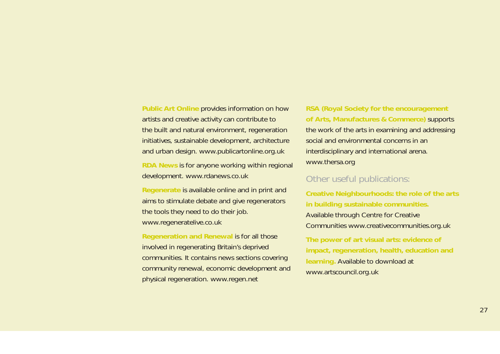**Public Art Online** provides information on how artists and creative activity can contribute to the built and natural environment, regeneration initiatives, sustainable development, architecture and urban design. www.publicartonline.org.uk

**RDA News** is for anyone working within regional development. www.rdanews.co.uk

**Regenerate** is available online and in print and aims to stimulate debate and give regenerators the tools they need to do their job. www.regeneratelive.co.uk

**Regeneration and Renewal** is for all those involved in regenerating Britain's deprived communities. It contains news sections covering community renewal, economic development and physical regeneration. www.regen.net

**RSA (Royal Society for the encouragement of Arts, Manufactures & Commerce)** supports the work of the arts in examining and addressing social and environmental concerns in an interdisciplinary and international arena. www.thersa.org

### Other useful publications:

**Creative Neighbourhoods: the role of the arts in building sustainable communities.** Available through Centre for Creative Communities www.creativecommunities.org.uk

**The power of art visual arts: evidence of impact, regeneration, health, education and learning.** Available to download at www.artscouncil.org.uk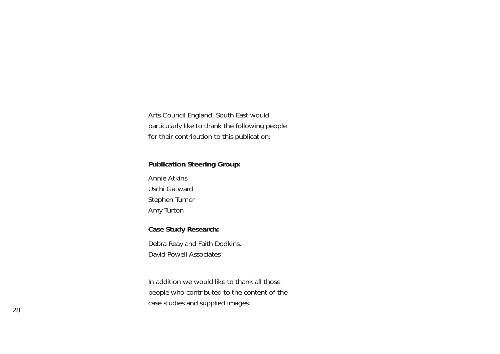Arts Council England, South East would particularly like to thank the following people for their contribution to this publication:

#### **Publication Steering Group:**

Annie AtkinsUschi GatwardStephen Turner Amy Turton

#### **Case Study Research:**

Debra Reay and Faith Dodkins, David Powell Associates

In addition we would like to thank all those people who contributed to the content of the case studies and supplied images.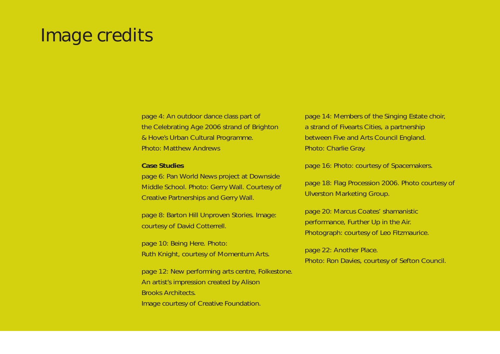### Image credits

page 4: An outdoor dance class part of the Celebrating Age 2006 strand of Brighton & Hove's Urban Cultural Programme. Photo: Matthew Andrews

#### **Case Studies**

page 6: Pan World News project at Downside Middle School. Photo: Gerry Wall. Courtesy of Creative Partnerships and Gerry Wall.

page 8: Barton Hill Unproven Stories. Image: courtesy of David Cotterrell.

page 10: Being Here. Photo: Ruth Knight, courtesy of Momentum Arts.

page 12: New performing arts centre, Folkestone. An artist's impression created by Alison Brooks Architects. Image courtesy of Creative Foundation.

page 14: Members of the Singing Estate choir, a strand of Fivearts Cities, a partnership between Five and Arts Council England. Photo: Charlie Gray.

page 16: Photo: courtesy of Spacemakers.

page 18: Flag Procession 2006. Photo courtesy of Ulverston Marketing Group.

page 20: Marcus Coates' shamanistic performance, Further Up in the Air. Photograph: courtesy of Leo Fitzmaurice.

page 22: Another Place. Photo: Ron Davies, courtesy of Sefton Council.